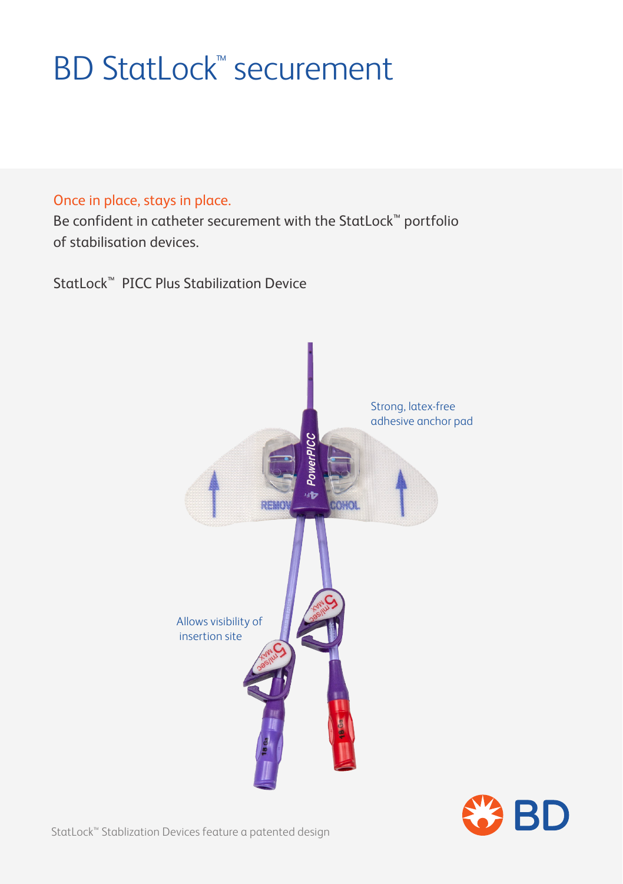# **BD StatLock<sup>™</sup> securement**

Once in place, stays in place.

Be confident in catheter securement with the StatLock™ portfolio of stabilisation devices.

StatLock™ PICC Plus Stabilization Device